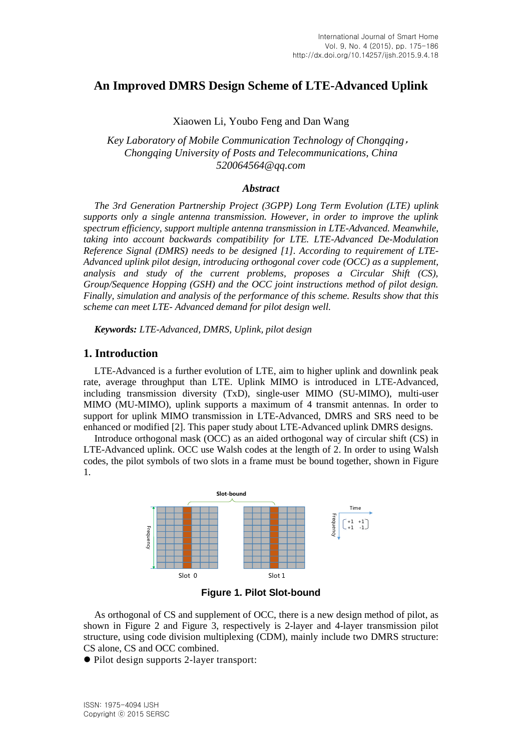# **An Improved DMRS Design Scheme of LTE-Advanced Uplink**

Xiaowen Li, Youbo Feng and Dan Wang

*Key Laboratory of Mobile Communication [Technology](javascript:void(0)) of Chongqing*, *Chongqing University of Posts and Telecommunications, China 520064564@qq.com*

#### *Abstract*

*The 3rd Generation Partnership Project (3GPP) Long Term Evolution (LTE) uplink supports only a single antenna transmission. However, in order to improve the uplink spectrum efficiency, support multiple antenna transmission in LTE-Advanced. Meanwhile, taking into account backwards compatibility for LTE. LTE-Advanced De-Modulation Reference Signal (DMRS) needs to be designed [1]. According to requirement of LTE-Advanced uplink pilot design, introducing orthogonal cover code (OCC) as a supplement, analysis and study of the current problems, proposes a Circular Shift (CS), Group/Sequence Hopping (GSH) and the OCC joint instructions method of pilot design. Finally, simulation and analysis of the performance of this scheme. Results show that this scheme can meet LTE- Advanced demand for pilot design well.*

*Keywords: LTE-Advanced, DMRS, Uplink, pilot design*

#### **1. Introduction**

LTE-Advanced is a further evolution of LTE, aim to higher uplink and downlink peak rate, average throughput than LTE. Uplink MIMO is introduced in LTE-Advanced, including transmission diversity (TxD), single-user MIMO (SU-MIMO), multi-user MIMO (MU-MIMO), uplink supports a maximum of 4 transmit antennas. In order to support for uplink MIMO transmission in LTE-Advanced, DMRS and SRS need to be enhanced or modified [2]. This paper study about LTE-Advanced uplink DMRS designs.

Introduce orthogonal mask (OCC) as an aided orthogonal way of circular shift (CS) in LTE-Advanced uplink. OCC use Walsh codes at the length of 2. In order to using Walsh codes, the pilot symbols of two slots in a frame must be bound together, shown in Figure 1.



**Figure 1. Pilot Slot-bound**

As orthogonal of CS and supplement of OCC, there is a new design method of pilot, as shown in Figure 2 and Figure 3, respectively is 2-layer and 4-layer transmission pilot structure, using code division multiplexing (CDM), mainly include two DMRS structure: CS alone, CS and OCC combined.

Pilot design supports 2-layer transport: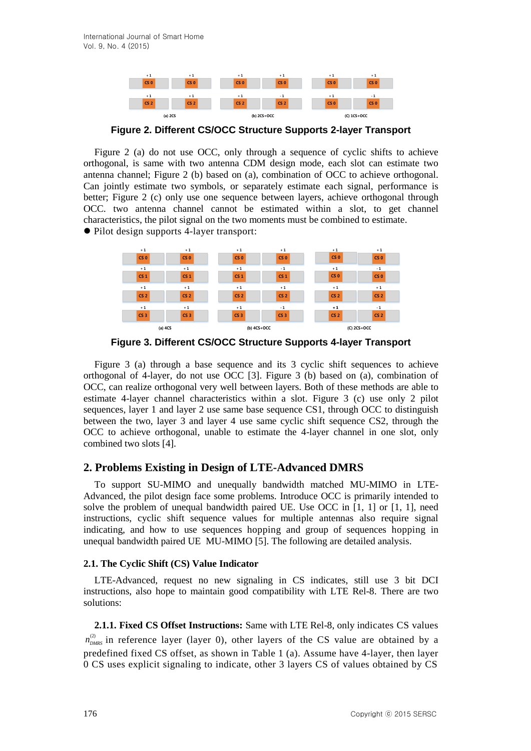

**Figure 2. Different CS/OCC Structure Supports 2-layer Transport**

Figure 2 (a) do not use OCC, only through a sequence of cyclic shifts to achieve orthogonal, is same with two antenna CDM design mode, each slot can estimate two antenna channel; Figure 2 (b) based on (a), combination of OCC to achieve orthogonal. Can jointly estimate two symbols, or separately estimate each signal, performance is better; Figure 2 (c) only use one sequence between layers, achieve orthogonal through OCC. two antenna channel cannot be estimated within a slot, to get channel characteristics, the pilot signal on the two moments must be combined to estimate. Pilot design supports 4-layer transport:



**Figure 3. Different CS/OCC Structure Supports 4-layer Transport**

Figure 3 (a) through a base sequence and its 3 cyclic shift sequences to achieve orthogonal of 4-layer, do not use OCC [3]. Figure 3 (b) based on (a), combination of OCC, can realize orthogonal very well between layers. Both of these methods are able to estimate 4-layer channel characteristics within a slot. Figure 3 (c) use only 2 pilot sequences, layer 1 and layer 2 use same base sequence CS1, through OCC to distinguish between the two, layer 3 and layer 4 use same cyclic shift sequence CS2, through the OCC to achieve orthogonal, unable to estimate the 4-layer channel in one slot, only combined two slots [4].

# **2. Problems Existing in Design of LTE-Advanced DMRS**

To support SU-MIMO and unequally bandwidth matched MU-MIMO in LTE-Advanced, the pilot design face some problems. Introduce OCC is primarily intended to solve the problem of unequal bandwidth paired UE. Use OCC in  $[1, 1]$  or  $[1, 1]$ , need instructions, cyclic shift sequence values for multiple antennas also require signal indicating, and how to use sequences hopping and group of sequences hopping in unequal bandwidth paired UE MU-MIMO [5]. The following are detailed analysis.

#### **2.1. The Cyclic Shift (CS) Value Indicator**

LTE-Advanced, request no new signaling in CS indicates, still use 3 bit DCI instructions, also hope to maintain good compatibility with LTE Rel-8. There are two solutions:

**2.1.1. Fixed CS Offset Instructions:** Same with LTE Rel-8, only indicates CS values  $n_{DMRS}^{(2)}$  in reference layer (layer 0), other layers of the CS value are obtained by a predefined fixed CS offset, as shown in Table 1 (a). Assume have 4-layer, then layer 0 CS uses explicit signaling to indicate, other 3 layers CS of values obtained by CS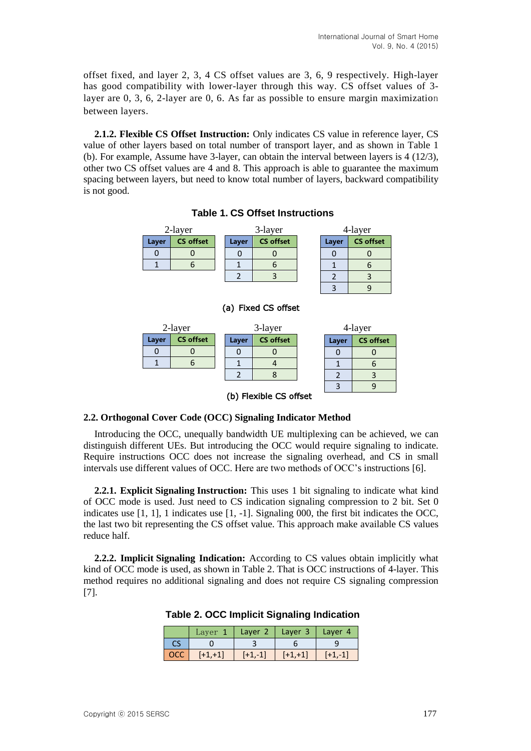$3 \mid 9$ 

3 9

offset fixed, and layer 2, 3, 4 CS offset values are 3, 6, 9 respectively. High-layer has good compatibility with lower-layer through this way. CS offset values of 3 layer are 0, 3, 6, 2-layer are 0, 6. As far as possible to ensure margin maximization between layers.

**2.1.2. Flexible CS Offset Instruction:** Only indicates CS value in reference layer, CS value of other layers based on total number of transport layer, and as shown in Table 1 (b). For example, Assume have 3-layer, can obtain the interval between layers is 4 (12/3), other two CS offset values are 4 and 8. This approach is able to guarantee the maximum spacing between layers, but need to know total number of layers, backward compatibility is not good.

#### 2-layer 3-layer 4-layer 4-layer **Layer CS offset** 0 0 1 6 **Layer CS offset**  $0 \quad 0$ 1 6  $2 \mid 3$ **Layer CS offset**  $0 \quad 0$ 1 6  $2 \mid 3$

# **Table 1. CS Offset Instructions**

| 2-layer |                  | 3-layer |                  |  | 4-layer |                  |  |
|---------|------------------|---------|------------------|--|---------|------------------|--|
| Layer   | <b>CS offset</b> | Layer   | <b>CS offset</b> |  | Layer   | <b>CS</b> offset |  |
|         |                  |         |                  |  |         |                  |  |
|         |                  |         |                  |  |         |                  |  |
|         |                  |         |                  |  |         |                  |  |

#### (a) Fixed CS offset

(b) Flexible CS offset

#### **2.2. Orthogonal Cover Code (OCC) Signaling Indicator Method**

Introducing the OCC, unequally bandwidth UE multiplexing can be achieved, we can distinguish different UEs. But introducing the OCC would require signaling to indicate. Require instructions OCC does not increase the signaling overhead, and CS in small intervals use different values of OCC. Here are two methods of OCC's instructions [6].

**2.2.1. Explicit Signaling Instruction:** This uses 1 bit signaling to indicate what kind of OCC mode is used. Just need to CS indication signaling compression to 2 bit. Set 0 indicates use  $[1, 1]$ , 1 indicates use  $[1, -1]$ . Signaling 000, the first bit indicates the OCC, the last two bit representing the CS offset value. This approach make available CS values reduce half.

**2.2.2. Implicit Signaling Indication:** According to CS values obtain implicitly what kind of OCC mode is used, as shown in Table 2. That is OCC instructions of 4-layer. This method requires no additional signaling and does not require CS signaling compression [7].

|            | Layer 1   |           | Layer 2   Layer 3 | Layer 4   |
|------------|-----------|-----------|-------------------|-----------|
|            |           |           |                   |           |
| <b>OCC</b> | $[+1,+1]$ | $[+1,-1]$ | $[+1,+1]$         | $[-1,-1]$ |

**Table 2. OCC Implicit Signaling Indication**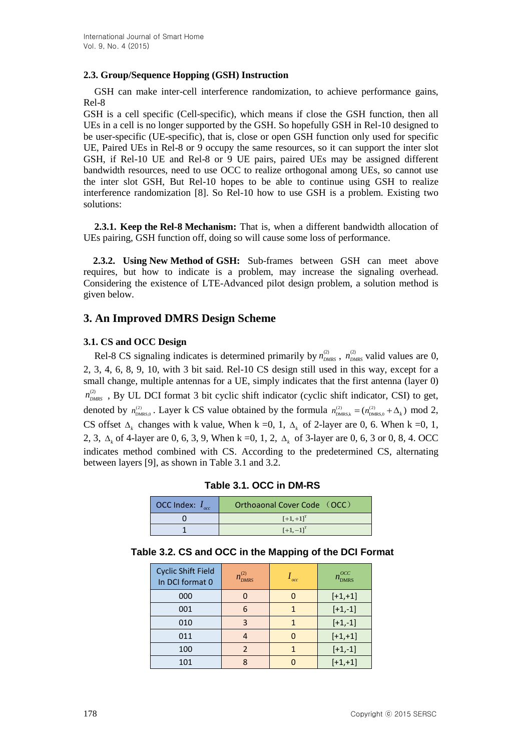## **2.3. Group/Sequence Hopping (GSH) Instruction**

GSH can make inter-cell interference randomization, to achieve performance gains, Rel-8

GSH is a cell specific (Cell-specific), which means if close the GSH function, then all UEs in a cell is no longer supported by the GSH. So hopefully GSH in Rel-10 designed to be user-specific (UE-specific), that is, close or open GSH function only used for specific UE, Paired UEs in Rel-8 or 9 occupy the same resources, so it can support the inter slot GSH, if Rel-10 UE and Rel-8 or 9 UE pairs, paired UEs may be assigned different bandwidth resources, need to use OCC to realize orthogonal among UEs, so cannot use the inter slot GSH, But Rel-10 hopes to be able to continue using GSH to realize interference randomization [8]. So Rel-10 how to use GSH is a problem. Existing two solutions:

**2.3.1. Keep the Rel-8 Mechanism:** That is, when a different bandwidth allocation of UEs pairing, GSH function off, doing so will cause some loss of performance.

**2.3.2. Using New Method of GSH:** Sub-frames between GSH can meet above requires, but how to indicate is a problem, may increase the signaling overhead. Considering the existence of LTE-Advanced pilot design problem, a solution method is given below.

# **3. An Improved DMRS Design Scheme**

## **3.1. CS and OCC Design**

Rel-8 CS signaling indicates is determined primarily by  $n_{DMRS}^{(2)}$ ,  $n_{DMRS}^{(2)}$  valid values are 0, 2, 3, 4, 6, 8, 9, 10, with 3 bit said. Rel-10 CS design still used in this way, except for a small change, multiple antennas for a UE, simply indicates that the first antenna (layer 0)  $n_{<sub>DMRS</sub>}^{(2)}$ , By UL DCI format 3 bit cyclic shift indicator (cyclic shift indicator, CSI) to get, denoted by  $n_{\text{DMRS},0}^{(2)}$ . Layer k CS value obtained by the formula  $n_{\text{DMRS},k}^{(2)} = (n_{\text{DMRS},0}^{(2)} + \Delta_k) \text{ mod } 2$ , CS offset  $\Delta_k$  changes with k value, When k =0, 1,  $\Delta_k$  of 2-layer are 0, 6. When k =0, 1, 2, 3,  $\Delta_k$  of 4-layer are 0, 6, 3, 9, When k =0, 1, 2,  $\Delta_k$  of 3-layer are 0, 6, 3 or 0, 8, 4. OCC indicates method combined with CS. According to the predetermined CS, alternating between layers [9], as shown in Table 3.1 and 3.2.

| OCC Index: $I_{\text{occ}}$ | Orthoaonal Cover Code (OCC) |
|-----------------------------|-----------------------------|
|                             | $[-1, +1]$ <sup>T</sup>     |
|                             | $[-1,-1]^{T}$               |

**Table 3.1. OCC in DM-RS**

| Table 3.2. CS and OCC in the Mapping of the DCI Format |  |
|--------------------------------------------------------|--|
|--------------------------------------------------------|--|

| <b>Cyclic Shift Field</b><br>In DCI format 0 | $n_{DMRS}^{(2)}$ | occ | OCC<br>$n_{\text{DMRS}}$ |
|----------------------------------------------|------------------|-----|--------------------------|
| 000                                          |                  |     | $[+1,+1]$                |
| 001                                          | 6                |     | $[-1,-1]$                |
| 010                                          | З                |     | $[-1,-1]$                |
| 011                                          |                  |     | $[-1,+1]$                |
| 100                                          |                  |     | $[-1,-1]$                |
| 101                                          | Ջ                |     | $[+1,+1]$                |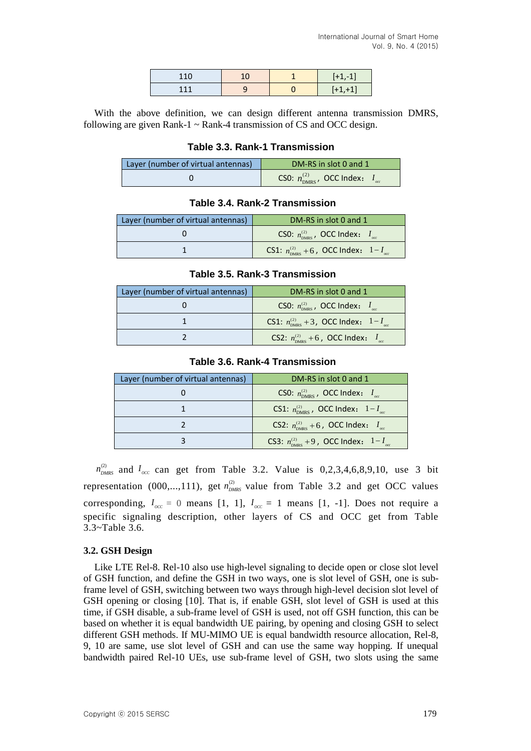| 110<br>$-10$ | 10 | $\overline{\phantom{0}}$ |
|--------------|----|--------------------------|
| 111          |    | и                        |

With the above definition, we can design different antenna transmission DMRS, following are given Rank-1  $\sim$  Rank-4 transmission of CS and OCC design.

#### **Table 3.3. Rank-1 Transmission**

| Layer (number of virtual antennas) | DM-RS in slot 0 and 1                                  |  |  |  |
|------------------------------------|--------------------------------------------------------|--|--|--|
|                                    | CS0: $n_{\text{DMRS}}^{(2)}$ , OCC Index: $I_{\alpha}$ |  |  |  |

## **Table 3.4. Rank-2 Transmission**

| Layer (number of virtual antennas) | DM-RS in slot 0 and 1                                         |  |  |  |
|------------------------------------|---------------------------------------------------------------|--|--|--|
|                                    | CS0: $n_{\text{DMRS}}^{(2)}$ , OCC Index: $I_{\text{acc}}$    |  |  |  |
|                                    | CS1: $n_{\text{DMRS}}^{(2)}$ +6, OCC Index: $1-I_{\text{av}}$ |  |  |  |

#### **Table 3.5. Rank-3 Transmission**

| Layer (number of virtual antennas) | DM-RS in slot 0 and 1                                                      |
|------------------------------------|----------------------------------------------------------------------------|
|                                    | CS0: $n_{\text{DMRS}}^{(2)}$ , OCC Index: $I_{\text{acc}}$                 |
|                                    | CS1: $n_{\text{DMRS}}^{(2)}$ + 3, OCC Index: $1-I_{\text{acc}}$            |
|                                    | <b>CS2:</b> $n_{\text{DMRS}}^{(2)}$ +6, <b>OCC</b> Index: $I_{\text{max}}$ |

#### **Table 3.6. Rank-4 Transmission**

| Layer (number of virtual antennas) | DM-RS in slot 0 and 1                                                      |
|------------------------------------|----------------------------------------------------------------------------|
|                                    | CS0: $n_{\text{DMRS}}^{(2)}$ , OCC Index: $I_{\text{acc}}$                 |
|                                    | <b>CS1:</b> $n_{\text{DMRS}}^{(2)}$ , <b>OCC Index:</b> $1-I_{\text{occ}}$ |
|                                    | <b>CS2:</b> $n_{\text{DMRS}}^{(2)}$ + 6, <b>OCC Index:</b> $I_{\infty}$    |
|                                    | CS3: $n_{\text{DMRS}}^{(2)} + 9$ , OCC Index: $1 - I_{\text{acc}}$         |

 $n_{DMRS}^{(2)}$  and  $I_{occ}$  can get from Table 3.2. Value is 0,2,3,4,6,8,9,10, use 3 bit representation (000,...,111), get  $n_{DMRS}^{(2)}$  value from Table 3.2 and get OCC values corresponding,  $I_{occ} = 0$  means [1, 1],  $I_{occ} = 1$  means [1, -1]. Does not require a specific signaling description, other layers of CS and OCC get from Table 3.3~Table 3.6.

## **3.2. GSH Design**

Like LTE Rel-8. Rel-10 also use high-level signaling to decide open or close slot level of GSH function, and define the GSH in two ways, one is slot level of GSH, one is subframe level of GSH, switching between two ways through high-level decision slot level of GSH opening or closing [10]. That is, if enable GSH, slot level of GSH is used at this time, if GSH disable, a sub-frame level of GSH is used, not off GSH function, this can be based on whether it is equal bandwidth UE pairing, by opening and closing GSH to select different GSH methods. If MU-MIMO UE is equal bandwidth resource allocation, Rel-8, 9, 10 are same, use slot level of GSH and can use the same way hopping. If unequal bandwidth paired Rel-10 UEs, use sub-frame level of GSH, two slots using the same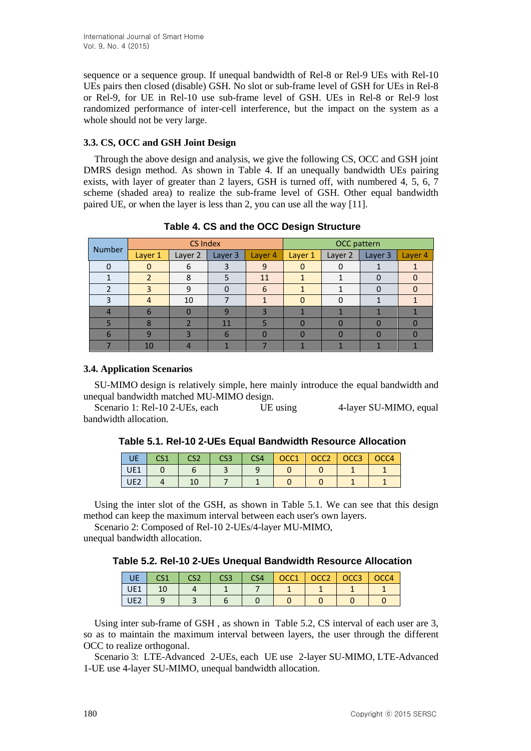sequence or a sequence group. If unequal bandwidth of Rel-8 or Rel-9 UEs with Rel-10 UEs pairs then closed (disable) GSH. No slot or sub-frame level of GSH for UEs in Rel-8 or Rel-9, for UE in Rel-10 use sub-frame level of GSH. UEs in Rel-8 or Rel-9 lost randomized performance of inter-cell interference, but the impact on the system as a whole should not be very large.

#### **3.3. CS, OCC and GSH Joint Design**

Through the above design and analysis, we give the following CS, OCC and GSH joint DMRS design method. As shown in Table 4. If an unequally bandwidth UEs pairing exists, with layer of greater than 2 layers, GSH is turned off, with numbered 4, 5, 6, 7 scheme (shaded area) to realize the sub-frame level of GSH. Other equal bandwidth paired UE, or when the layer is less than 2, you can use all the way [11].

| Number | <b>CS Index</b> |         |         | OCC pattern |         |         |         |         |
|--------|-----------------|---------|---------|-------------|---------|---------|---------|---------|
|        | Layer 1         | Layer 2 | Layer 3 | Layer 4     | Layer 1 | Layer 2 | Layer 3 | Layer 4 |
| 0      |                 | 6       |         | 9           |         |         |         |         |
|        |                 | 8       |         | 11          |         |         |         |         |
|        |                 | 9       |         | 6           |         |         |         |         |
|        |                 | 10      |         |             |         |         |         |         |
|        |                 |         |         | 2           |         |         |         |         |
|        |                 |         | 11      |             |         |         |         |         |
| 6      |                 |         | h       |             |         |         |         |         |
|        | 10              |         |         |             |         |         |         |         |

**Table 4. CS and the OCC Design Structure**

## **3.4. Application Scenarios**

SU-MIMO design is relatively simple, here mainly introduce the equal bandwidth and unequal bandwidth matched MU-MIMO design.

Scenario 1: Rel-10 2-UEs, each UE using 4-layer SU-MIMO, equal bandwidth allocation.

|                 | CS <sub>2</sub> | CS <sub>3</sub> | CS4 | OCC <sub>1</sub> | OCC <sub>2</sub> | OCC <sub>3</sub> | OCC4 |
|-----------------|-----------------|-----------------|-----|------------------|------------------|------------------|------|
| UE1             |                 |                 |     |                  |                  |                  |      |
| UE <sub>2</sub> |                 |                 |     |                  |                  |                  |      |

Using the inter slot of the GSH, as shown in Table 5.1. We can see that this design method can keep the maximum interval between each user's own layers.

Scenario 2: Composed of Rel-10 2-UEs/4-layer MU-MIMO,

unequal bandwidth allocation.

## **Table 5.2. Rel-10 2-UEs Unequal Bandwidth Resource Allocation**

| UE              | CS <sub>1</sub> | CS <sub>2</sub> | CS <sub>3</sub> | CS <sub>4</sub> | OCC1 | OCC <sub>2</sub> | OCC <sub>3</sub> | OCC4 |
|-----------------|-----------------|-----------------|-----------------|-----------------|------|------------------|------------------|------|
| UE1             |                 |                 |                 |                 |      |                  |                  |      |
| UE <sub>2</sub> |                 |                 |                 |                 |      |                  |                  |      |

Using inter sub-frame of GSH , as shown in Table 5.2, CS interval of each user are 3, so as to maintain the maximum interval between layers, the user through the different OCC to realize orthogonal.

Scenario 3: LTE-Advanced 2-UEs, each UE use 2-layer SU-MIMO, LTE-Advanced 1-UE use 4-layer SU-MIMO, unequal bandwidth allocation.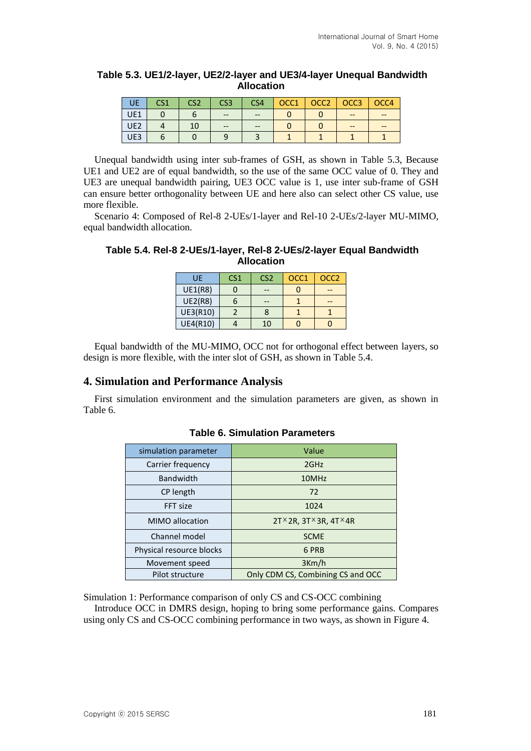### **Table 5.3. UE1/2-layer, UE2/2-layer and UE3/4-layer Unequal Bandwidth Allocation**

| UE              | CS <sub>1</sub> | CS <sub>2</sub> | CS <sub>3</sub> | CS <sub>4</sub> | OCC1 | OCC2   OCC3 | OCC4 |
|-----------------|-----------------|-----------------|-----------------|-----------------|------|-------------|------|
| UE1             |                 |                 | $- -$           | $- -$           |      |             |      |
| UE <sub>2</sub> |                 |                 | $- -$           | $- -$           |      |             |      |
| UE3             |                 |                 |                 |                 |      |             |      |

Unequal bandwidth using inter sub-frames of GSH, as shown in Table 5.3, Because UE1 and UE2 are of equal bandwidth, so the use of the same OCC value of 0. They and UE3 are unequal bandwidth pairing, UE3 OCC value is 1, use inter sub-frame of GSH can ensure better orthogonality between UE and here also can select other CS value, use more flexible.

Scenario 4: Composed of Rel-8 2-UEs/1-layer and Rel-10 2-UEs/2-layer MU-MIMO, equal bandwidth allocation.

| Table 5.4. Rel-8 2-UEs/1-layer, Rel-8 2-UEs/2-layer Equal Bandwidth |
|---------------------------------------------------------------------|
| <b>Allocation</b>                                                   |

| UE              | CS <sub>1</sub> | CS <sub>2</sub> | OCC1 | OCC <sub>2</sub> |
|-----------------|-----------------|-----------------|------|------------------|
| <b>UE1(R8)</b>  |                 |                 |      |                  |
| <b>UE2(R8)</b>  |                 |                 |      |                  |
| UE3(R10)        |                 | 8               |      |                  |
| <b>UE4(R10)</b> |                 | 10              |      |                  |

Equal bandwidth of the MU-MIMO, OCC not for orthogonal effect between layers, so design is more flexible, with the inter slot of GSH, as shown in Table 5.4.

#### **4. Simulation and Performance Analysis**

First simulation environment and the simulation parameters are given, as shown in Table 6.

| simulation parameter     | Value                                            |  |  |
|--------------------------|--------------------------------------------------|--|--|
| Carrier frequency        | 2GHz                                             |  |  |
| <b>Bandwidth</b>         | 10MHz                                            |  |  |
| CP length                | 72                                               |  |  |
| FFT size                 | 1024                                             |  |  |
| MIMO allocation          | $2T \times 2R$ , $3T \times 3R$ , $4T \times 4R$ |  |  |
| Channel model            | <b>SCME</b>                                      |  |  |
| Physical resource blocks | 6 PRB                                            |  |  |
| Movement speed           | 3Km/h                                            |  |  |
| Pilot structure          | Only CDM CS, Combining CS and OCC                |  |  |

## **Table 6. Simulation Parameters**

Simulation 1: Performance comparison of only CS and CS-OCC combining

Introduce OCC in DMRS design, hoping to bring some performance gains. Compares using only CS and CS-OCC combining performance in two ways, as shown in Figure 4.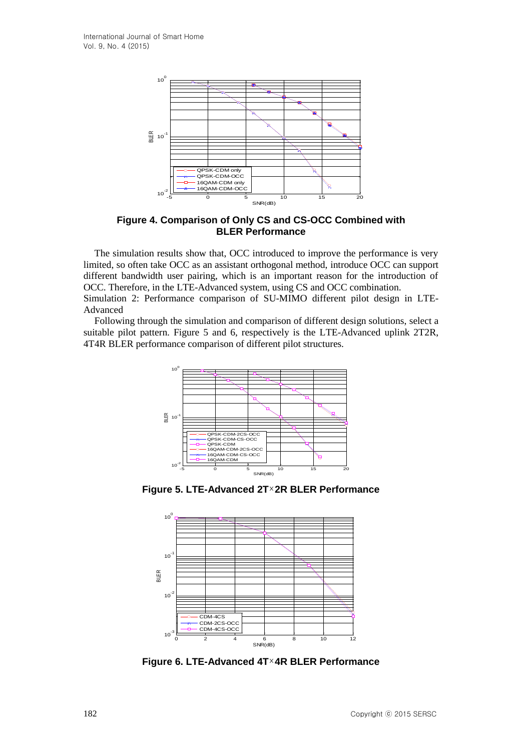

**Figure 4. Comparison of Only CS and CS-OCC Combined with BLER Performance**

The simulation results show that, OCC introduced to improve the performance is very limited, so often take OCC as an assistant orthogonal method, introduce OCC can support different bandwidth user pairing, which is an important reason for the introduction of OCC. Therefore, in the LTE-Advanced system, using CS and OCC combination.

Simulation 2: Performance comparison of SU-MIMO different pilot design in LTE-Advanced

Following through the simulation and comparison of different design solutions, select a suitable pilot pattern. Figure 5 and 6, respectively is the LTE-Advanced uplink 2T2R, 4T4R BLER performance comparison of different pilot structures.



**Figure 5. LTE-Advanced 2T 2R BLER Performance**



**Figure 6. LTE-Advanced 4T 4R BLER Performance**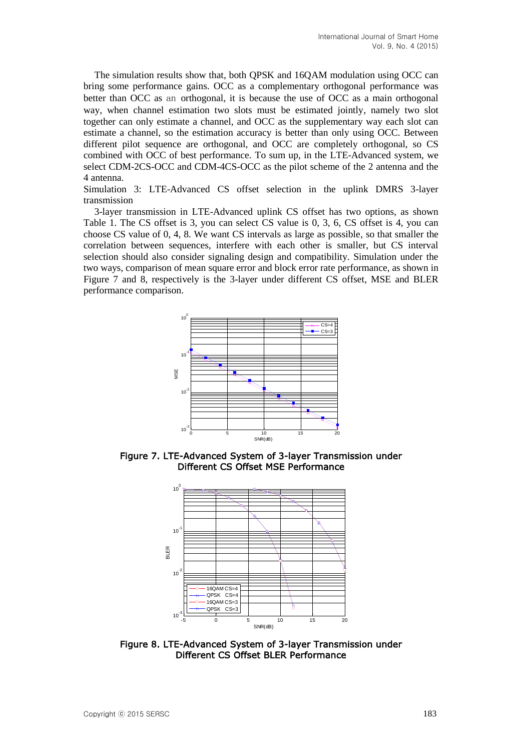The simulation results show that, both QPSK and 16QAM modulation using OCC can bring some performance gains. OCC as a complementary orthogonal performance was better than OCC as an orthogonal, it is because the use of OCC as a main orthogonal way, when channel estimation two slots must be estimated jointly, namely two slot together can only estimate a channel, and OCC as the supplementary way each slot can estimate a channel, so the estimation accuracy is better than only using OCC. Between different pilot sequence are orthogonal, and OCC are completely orthogonal, so CS combined with OCC of best performance. To sum up, in the LTE-Advanced system, we select CDM-2CS-OCC and CDM-4CS-OCC as the pilot scheme of the 2 antenna and the 4 antenna.

Simulation 3: LTE-Advanced CS offset selection in the uplink DMRS 3-layer transmission

3-layer transmission in LTE-Advanced uplink CS offset has two options, as shown Table 1. The CS offset is 3, you can select CS value is 0, 3, 6, CS offset is 4, you can choose CS value of 0, 4, 8. We want CS intervals as large as possible, so that smaller the correlation between sequences, interfere with each other is smaller, but CS interval selection should also consider signaling design and compatibility. Simulation under the two ways, comparison of mean square error and block error rate performance, as shown in Figure 7 and 8, respectively is the 3-layer under different CS offset, MSE and BLER performance comparison.



Figure 7. LTE-Advanced System of 3-layer Transmission under Different CS Offset MSE Performance



Figure 8. LTE-Advanced System of 3-layer Transmission under Different CS Offset BLER Performance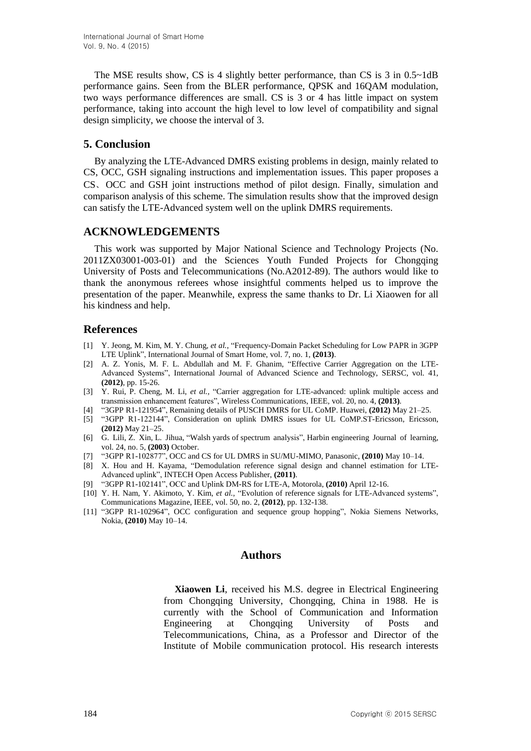The MSE results show, CS is 4 slightly better performance, than CS is 3 in 0.5~1dB performance gains. Seen from the BLER performance, QPSK and 16QAM modulation, two ways performance differences are small. CS is 3 or 4 has little impact on system performance, taking into account the high level to low level of compatibility and signal design simplicity, we choose the interval of 3.

## **5. Conclusion**

By analyzing the LTE-Advanced DMRS existing problems in design, mainly related to CS, OCC, GSH signaling instructions and implementation issues. This paper proposes a CS、OCC and GSH joint instructions method of pilot design. Finally, simulation and comparison analysis of this scheme. The simulation results show that the improved design can satisfy the LTE-Advanced system well on the uplink DMRS requirements.

# **ACKNOWLEDGEMENTS**

This work was supported by Major National Science and Technology Projects (No. 2011ZX03001-003-01) and the Sciences Youth Funded Projects for Chongqing University of Posts and Telecommunications (No.A2012-89). The authors would like to thank the anonymous referees whose insightful comments helped us to improve the presentation of the paper. Meanwhile, express the same thanks to Dr. Li Xiaowen for all his kindness and help.

# **References**

- [1] Y. Jeong, M. Kim, M. Y. Chung, *et al.*, "Frequency-Domain Packet Scheduling for Low PAPR in 3GPP LTE Uplink", International Journal of Smart Home, vol. 7, no. 1, **(2013)**.
- [2] A. Z. Yonis, M. F. L. Abdullah and M. F. Ghanim, "Effective Carrier Aggregation on the LTE-Advanced Systems", International Journal of Advanced Science and Technology, SERSC, vol. 41, **(2012)**, pp. 15-26.
- [3] Y. Rui, P. Cheng, M. Li, *et al.,* "Carrier aggregation for LTE-advanced: uplink multiple access and transmission enhancement features", Wireless Communications, IEEE, vol. 20, no. 4, **(2013)**.
- [4] "3GPP R1-121954", Remaining details of PUSCH DMRS for UL CoMP. Huawei, **(2012)** May 21–25.
- [5] "3GPP R1-122144", Consideration on uplink DMRS issues for UL CoMP.ST-Ericsson, Ericsson, **(2012)** May 21–25.
- [6] G. Lili, Z. Xin, L. Jihua, "Walsh yards of spectrum analysis", Harbin engineering Journal of learning, vol. 24, no. 5, **(2003)** October.
- [7] "3GPP R1-102877", OCC and CS for UL DMRS in SU/MU-MIMO, Panasonic, **(2010)** May 10–14.
- [8] X. Hou and H. Kayama, "Demodulation reference signal design and channel estimation for LTE-Advanced uplink", INTECH Open Access Publisher, **(2011)**.
- [9] "3GPP R1-102141", OCC and Uplink DM-RS for LTE-A, Motorola, **(2010)** April 12-16.
- [10] Y. H. Nam, Y. Akimoto, Y. Kim, *et al.*, "Evolution of reference signals for LTE-Advanced systems", Communications Magazine, IEEE, vol. 50, no. 2, **(2012)**, pp. 132-138.
- [11] "3GPP R1-102964", OCC configuration and sequence group hopping", Nokia Siemens Networks, Nokia, **(2010)** May 10–14.

## **Authors**

**Xiaowen Li**, received his M.S. degree in Electrical Engineering from Chongqing University, Chongqing, China in 1988. He is currently with the School of Communication and Information Engineering at Chongqing University of Posts and Telecommunications, China, as a Professor and Director of the Institute of Mobile communication protocol. His research interests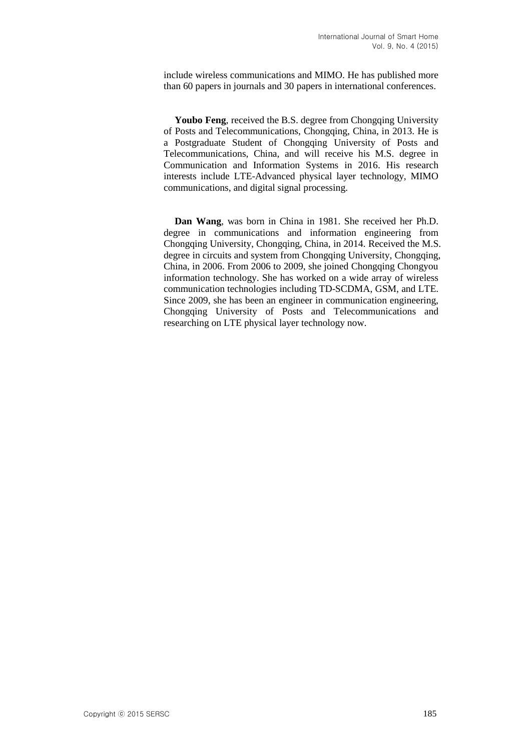include wireless communications and MIMO. He has published more than 60 papers in journals and 30 papers in international conferences.

**Youbo Feng**, received the B.S. degree from Chongqing University of Posts and Telecommunications, Chongqing, China, in 2013. He is a Postgraduate Student of Chongqing University of Posts and Telecommunications, China, and will receive his M.S. degree in Communication and Information Systems in 2016. His research interests include LTE-Advanced physical layer technology, MIMO communications, and digital signal processing.

**Dan Wang**, was born in China in 1981. She received her Ph.D. degree in communications and information engineering from Chongqing University, Chongqing, China, in 2014. Received the M.S. degree in circuits and system from Chongqing University, Chongqing, China, in 2006. From 2006 to 2009, she joined Chongqing Chongyou information technology. She has worked on a wide array of wireless communication technologies including TD-SCDMA, GSM, and LTE. Since 2009, she has been an engineer in communication engineering, Chongqing University of Posts and Telecommunications and researching on LTE physical layer technology now.